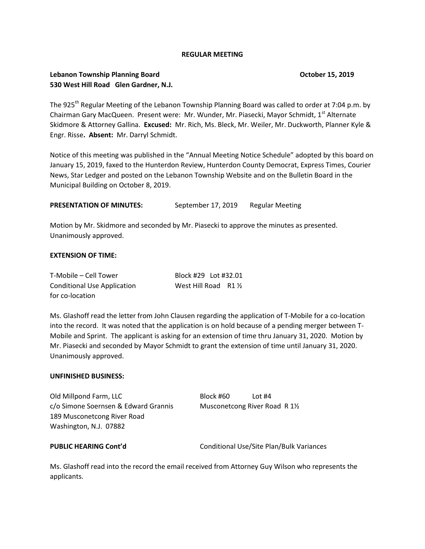## **REGULAR MEETING**

# **Lebanon Township Planning Board Construction Construction Construction Construction Construction Construction Construction Construction Construction Construction Construction Construction Construction Construction Const 530 West Hill Road Glen Gardner, N.J.**

The 925<sup>th</sup> Regular Meeting of the Lebanon Township Planning Board was called to order at 7:04 p.m. by Chairman Gary MacQueen. Present were: Mr. Wunder, Mr. Piasecki, Mayor Schmidt, 1<sup>st</sup> Alternate Skidmore & Attorney Gallina. **Excused:** Mr. Rich, Ms. Bleck, Mr. Weiler, Mr. Duckworth, Planner Kyle & Engr. Risse**. Absent:** Mr. Darryl Schmidt.

Notice of this meeting was published in the "Annual Meeting Notice Schedule" adopted by this board on January 15, 2019, faxed to the Hunterdon Review, Hunterdon County Democrat, Express Times, Courier News, Star Ledger and posted on the Lebanon Township Website and on the Bulletin Board in the Municipal Building on October 8, 2019.

PRESENTATION OF MINUTES: September 17, 2019 Regular Meeting

Motion by Mr. Skidmore and seconded by Mr. Piasecki to approve the minutes as presented. Unanimously approved.

## **EXTENSION OF TIME:**

| T-Mobile – Cell Tower              | Block #29 Lot #32.01  |  |
|------------------------------------|-----------------------|--|
| <b>Conditional Use Application</b> | West Hill Road $R1\%$ |  |
| for co-location                    |                       |  |

Ms. Glashoff read the letter from John Clausen regarding the application of T-Mobile for a co-location into the record. It was noted that the application is on hold because of a pending merger between T-Mobile and Sprint. The applicant is asking for an extension of time thru January 31, 2020. Motion by Mr. Piasecki and seconded by Mayor Schmidt to grant the extension of time until January 31, 2020. Unanimously approved.

### **UNFINISHED BUSINESS:**

Old Millpond Farm, LLC Block #60 Lot #4 c/o Simone Soernsen & Edward Grannis Musconetcong River Road R 1½ 189 Musconetcong River Road Washington, N.J. 07882

**PUBLIC HEARING Cont'd** Conditional Use/Site Plan/Bulk Variances

Ms. Glashoff read into the record the email received from Attorney Guy Wilson who represents the applicants.